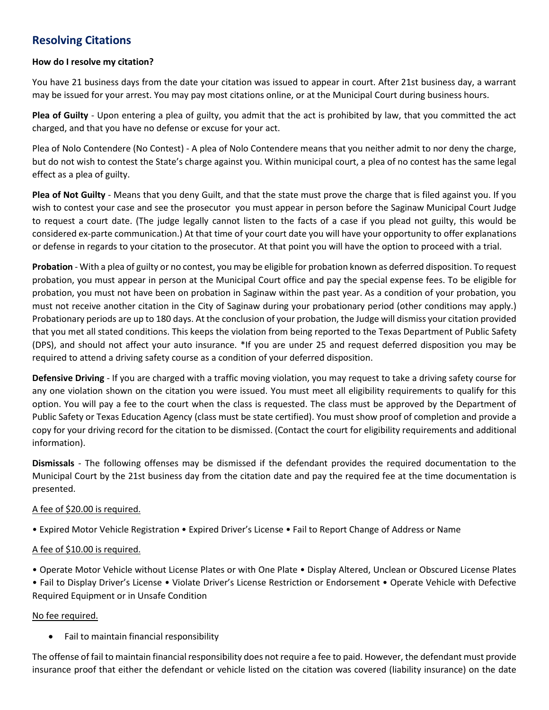# **Resolving Citations**

#### **How do I resolve my citation?**

You have 21 business days from the date your citation was issued to appear in court. After 21st business day, a warrant may be issued for your arrest. You may pay most citations online, or at the Municipal Court during business hours.

**Plea of Guilty** - Upon entering a plea of guilty, you admit that the act is prohibited by law, that you committed the act charged, and that you have no defense or excuse for your act.

Plea of Nolo Contendere (No Contest) - A plea of Nolo Contendere means that you neither admit to nor deny the charge, but do not wish to contest the State's charge against you. Within municipal court, a plea of no contest has the same legal effect as a plea of guilty.

**Plea of Not Guilty** - Means that you deny Guilt, and that the state must prove the charge that is filed against you. If you wish to contest your case and see the prosecutor you must appear in person before the Saginaw Municipal Court Judge to request a court date. (The judge legally cannot listen to the facts of a case if you plead not guilty, this would be considered ex-parte communication.) At that time of your court date you will have your opportunity to offer explanations or defense in regards to your citation to the prosecutor. At that point you will have the option to proceed with a trial.

**Probation** - With a plea of guilty or no contest, you may be eligible for probation known as deferred disposition. To request probation, you must appear in person at the Municipal Court office and pay the special expense fees. To be eligible for probation, you must not have been on probation in Saginaw within the past year. As a condition of your probation, you must not receive another citation in the City of Saginaw during your probationary period (other conditions may apply.) Probationary periods are up to 180 days. At the conclusion of your probation, the Judge will dismiss your citation provided that you met all stated conditions. This keeps the violation from being reported to the Texas Department of Public Safety (DPS), and should not affect your auto insurance. \*If you are under 25 and request deferred disposition you may be required to attend a driving safety course as a condition of your deferred disposition.

**Defensive Driving** - If you are charged with a traffic moving violation, you may request to take a driving safety course for any one violation shown on the citation you were issued. You must meet all eligibility requirements to qualify for this option. You will pay a fee to the court when the class is requested. The class must be approved by the Department of Public Safety or Texas Education Agency (class must be state certified). You must show proof of completion and provide a copy for your driving record for the citation to be dismissed. (Contact the court for eligibility requirements and additional information).

**Dismissals** - The following offenses may be dismissed if the defendant provides the required documentation to the Municipal Court by the 21st business day from the citation date and pay the required fee at the time documentation is presented.

### A fee of \$20.00 is required.

• Expired Motor Vehicle Registration • Expired Driver's License • Fail to Report Change of Address or Name

### A fee of \$10.00 is required.

• Operate Motor Vehicle without License Plates or with One Plate • Display Altered, Unclean or Obscured License Plates

• Fail to Display Driver's License • Violate Driver's License Restriction or Endorsement • Operate Vehicle with Defective Required Equipment or in Unsafe Condition

#### No fee required.

Fail to maintain financial responsibility

The offense of fail to maintain financial responsibility does not require a fee to paid. However, the defendant must provide insurance proof that either the defendant or vehicle listed on the citation was covered (liability insurance) on the date